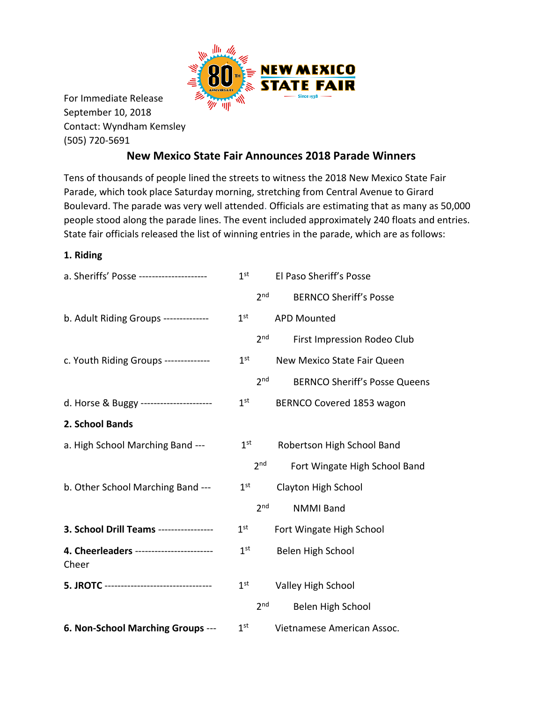

For Immediate Release September 10, 2018 Contact: Wyndham Kemsley (505) 720-5691

## **New Mexico State Fair Announces 2018 Parade Winners**

Tens of thousands of people lined the streets to witness the 2018 New Mexico State Fair Parade, which took place Saturday morning, stretching from Central Avenue to Girard Boulevard. The parade was very well attended. Officials are estimating that as many as 50,000 people stood along the parade lines. The event included approximately 240 floats and entries. State fair officials released the list of winning entries in the parade, which are as follows:

## **1. Riding**

| a. Sheriffs' Posse ---------------------          |                 | 1 <sup>st</sup> El Paso Sheriff's Posse          |
|---------------------------------------------------|-----------------|--------------------------------------------------|
|                                                   |                 | 2 <sup>nd</sup><br><b>BERNCO Sheriff's Posse</b> |
| b. Adult Riding Groups --------------             | 1 <sup>st</sup> | <b>APD Mounted</b>                               |
|                                                   | 2 <sub>nd</sub> | First Impression Rodeo Club                      |
| c. Youth Riding Groups --------------             | 1 <sup>st</sup> | New Mexico State Fair Queen                      |
|                                                   | 2 <sub>nd</sub> | <b>BERNCO Sheriff's Posse Queens</b>             |
| d. Horse & Buggy -----------------------          | 1 <sup>st</sup> | BERNCO Covered 1853 wagon                        |
| 2. School Bands                                   |                 |                                                  |
| a. High School Marching Band ---                  | $1^{\text{st}}$ | Robertson High School Band                       |
|                                                   | 2 <sup>nd</sup> | Fort Wingate High School Band                    |
| b. Other School Marching Band ---                 | $1^{\rm st}$    | Clayton High School                              |
|                                                   | 2 <sub>nd</sub> | <b>NMMI Band</b>                                 |
| 3. School Drill Teams -----------------           | $1^{\rm st}$    | Fort Wingate High School                         |
| 4. Cheerleaders ------------------------<br>Cheer | 1 <sup>st</sup> | Belen High School                                |
| 5. JROTC -----------------------------------      | 1 <sup>st</sup> | Valley High School                               |
|                                                   | 2 <sub>nd</sub> | Belen High School                                |
| 6. Non-School Marching Groups ---                 | 1 <sup>st</sup> | Vietnamese American Assoc.                       |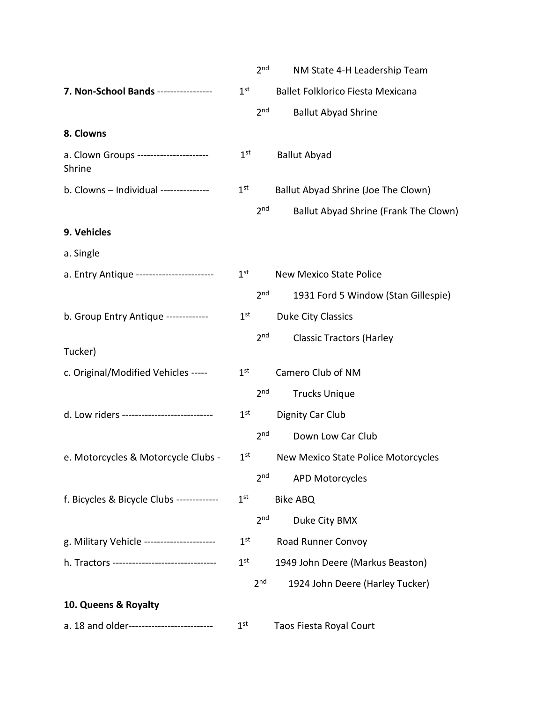|                                                        |                 | 2 <sub>nd</sub> | NM State 4-H Leadership Team          |
|--------------------------------------------------------|-----------------|-----------------|---------------------------------------|
| <b>7. Non-School Bands</b> ------------------ $1^{st}$ |                 |                 | Ballet Folklorico Fiesta Mexicana     |
|                                                        |                 | 2 <sub>nd</sub> | <b>Ballut Abyad Shrine</b>            |
| 8. Clowns                                              |                 |                 |                                       |
| a. Clown Groups ---------------------<br>Shrine        | 1 <sup>st</sup> |                 | <b>Ballut Abyad</b>                   |
| b. Clowns - Individual --------------                  | $1^{\rm st}$    |                 | Ballut Abyad Shrine (Joe The Clown)   |
|                                                        |                 | 2 <sub>nd</sub> | Ballut Abyad Shrine (Frank The Clown) |
| 9. Vehicles                                            |                 |                 |                                       |
| a. Single                                              |                 |                 |                                       |
| a. Entry Antique ------------------------              |                 | $1^{\rm st}$    | <b>New Mexico State Police</b>        |
|                                                        |                 | 2 <sub>nd</sub> | 1931 Ford 5 Window (Stan Gillespie)   |
| b. Group Entry Antique -------------                   | $1^{\rm st}$    |                 | Duke City Classics                    |
|                                                        |                 | 2 <sub>nd</sub> | <b>Classic Tractors (Harley</b>       |
| Tucker)                                                |                 |                 |                                       |
| c. Original/Modified Vehicles -----                    | $1^{\rm st}$    |                 | Camero Club of NM                     |
|                                                        |                 | 2 <sub>nd</sub> | <b>Trucks Unique</b>                  |
| d. Low riders ----------------------------             | 1 <sup>st</sup> |                 | Dignity Car Club                      |
|                                                        |                 | 2 <sub>nd</sub> | Down Low Car Club                     |
| e. Motorcycles & Motorcycle Clubs -                    | 1 <sup>st</sup> |                 | New Mexico State Police Motorcycles   |
|                                                        |                 | 2 <sub>nd</sub> | <b>APD Motorcycles</b>                |
| f. Bicycles & Bicycle Clubs -------------              | 1 <sup>st</sup> |                 | <b>Bike ABQ</b>                       |
|                                                        |                 | 2 <sub>nd</sub> | Duke City BMX                         |
| g. Military Vehicle ----------------------             | 1 <sup>st</sup> |                 | Road Runner Convoy                    |
| h. Tractors --------------------------------           | $1^{\rm st}$    |                 | 1949 John Deere (Markus Beaston)      |
|                                                        |                 | 2 <sup>nd</sup> | 1924 John Deere (Harley Tucker)       |
| 10. Queens & Royalty                                   |                 |                 |                                       |
| a. 18 and older--------------------------              | 1 <sup>st</sup> |                 | Taos Fiesta Royal Court               |